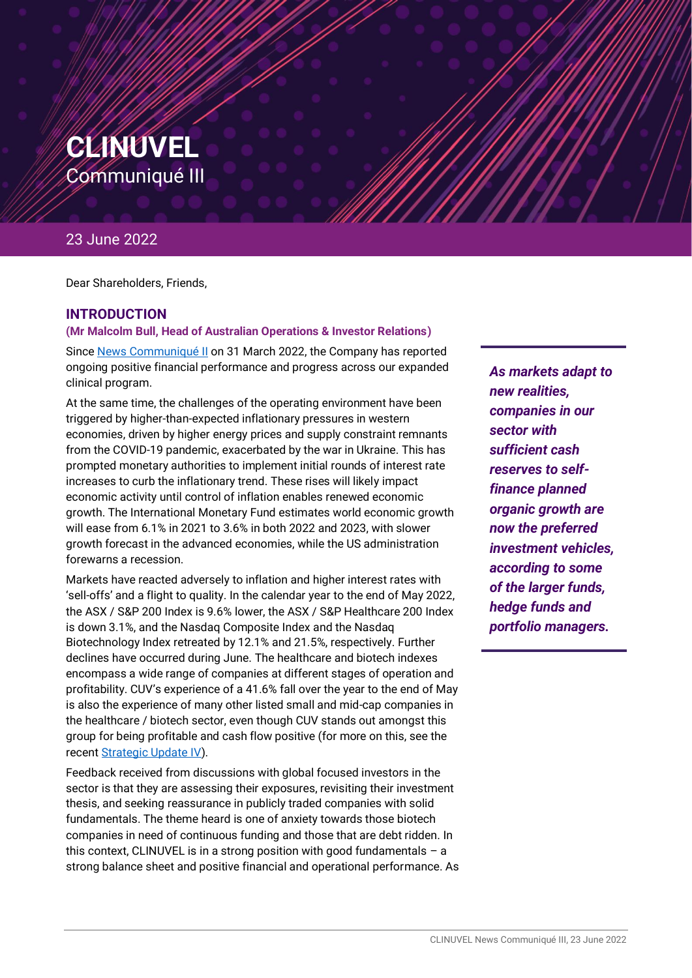

## 23 June 2022

Dear Shareholders, Friends,

## **INTRODUCTION**

#### **(Mr Malcolm Bull, Head of Australian Operations & Investor Relations)**

Sinc[e News Communiqué II](https://www.clinuvel.com/clinuvel-communique-ii-20220331/) on 31 March 2022, the Company has reported ongoing positive financial performance and progress across our expanded clinical program.

At the same time, the challenges of the operating environment have been triggered by higher-than-expected inflationary pressures in western economies, driven by higher energy prices and supply constraint remnants from the COVID-19 pandemic, exacerbated by the war in Ukraine. This has prompted monetary authorities to implement initial rounds of interest rate increases to curb the inflationary trend. These rises will likely impact economic activity until control of inflation enables renewed economic growth. The International Monetary Fund estimates world economic growth will ease from 6.1% in 2021 to 3.6% in both 2022 and 2023, with slower growth forecast in the advanced economies, while the US administration forewarns a recession.

Markets have reacted adversely to inflation and higher interest rates with 'sell-offs' and a flight to quality. In the calendar year to the end of May 2022, the ASX / S&P 200 Index is 9.6% lower, the ASX / S&P Healthcare 200 Index is down 3.1%, and the Nasdaq Composite Index and the Nasdaq Biotechnology Index retreated by 12.1% and 21.5%, respectively. Further declines have occurred during June. The healthcare and biotech indexes encompass a wide range of companies at different stages of operation and profitability. CUV's experience of a 41.6% fall over the year to the end of May is also the experience of many other listed small and mid-cap companies in the healthcare / biotech sector, even though CUV stands out amongst this group for being profitable and cash flow positive (for more on this, see the recent [Strategic Update IV\)](https://www.clinuvel.com/strategic-update-4/).

Feedback received from discussions with global focused investors in the sector is that they are assessing their exposures, revisiting their investment thesis, and seeking reassurance in publicly traded companies with solid fundamentals. The theme heard is one of anxiety towards those biotech companies in need of continuous funding and those that are debt ridden. In this context, CLINUVEL is in a strong position with good fundamentals  $-$  a strong balance sheet and positive financial and operational performance. As

*Markets have As markets adapt to reacted adversely to new realities, inflation and higher companies in our interest rates with sector with 'sell-offs' and a sufficient cash flight to quality. reserves to selffinance planned organic growth are now the preferred investment vehicles, according to some of the larger funds, hedge funds and portfolio managers.*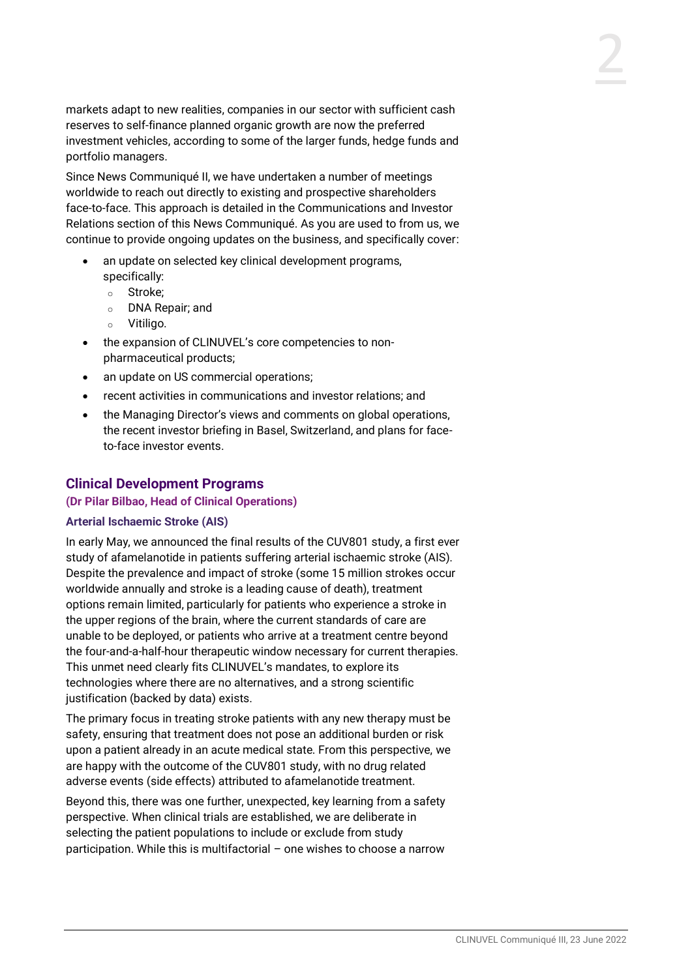markets adapt to new realities, companies in our sector with sufficient cash reserves to self-finance planned organic growth are now the preferred investment vehicles, according to some of the larger funds, hedge funds and portfolio managers.

Since News Communiqué II, we have undertaken a number of meetings worldwide to reach out directly to existing and prospective shareholders face-to-face. This approach is detailed in the Communications and Investor Relations section of this News Communiqué. As you are used to from us, we continue to provide ongoing updates on the business, and specifically cover:

- an update on selected key clinical development programs, specifically:
	- o Stroke;
	- o DNA Repair; and
	- o Vitiligo.
- the expansion of CLINUVEL's core competencies to nonpharmaceutical products;
- an update on US commercial operations;
- recent activities in communications and investor relations; and
- the Managing Director's views and comments on global operations, the recent investor briefing in Basel, Switzerland, and plans for faceto-face investor events.

## **Clinical Development Programs**

#### **(Dr Pilar Bilbao, Head of Clinical Operations)**

#### **Arterial Ischaemic Stroke (AIS)**

In early May, we announced the final results of the CUV801 study, a first ever study of afamelanotide in patients suffering arterial ischaemic stroke (AIS). Despite the prevalence and impact of stroke (some 15 million strokes occur worldwide annually and stroke is a leading cause of death), treatment options remain limited, particularly for patients who experience a stroke in the upper regions of the brain, where the current standards of care are unable to be deployed, or patients who arrive at a treatment centre beyond the four-and-a-half-hour therapeutic window necessary for current therapies. This unmet need clearly fits CLINUVEL's mandates, to explore its technologies where there are no alternatives, and a strong scientific justification (backed by data) exists.

The primary focus in treating stroke patients with any new therapy must be safety, ensuring that treatment does not pose an additional burden or risk upon a patient already in an acute medical state. From this perspective, we are happy with the outcome of the CUV801 study, with no drug related adverse events (side effects) attributed to afamelanotide treatment.

Beyond this, there was one further, unexpected, key learning from a safety perspective. When clinical trials are established, we are deliberate in selecting the patient populations to include or exclude from study participation. While this is multifactorial – one wishes to choose a narrow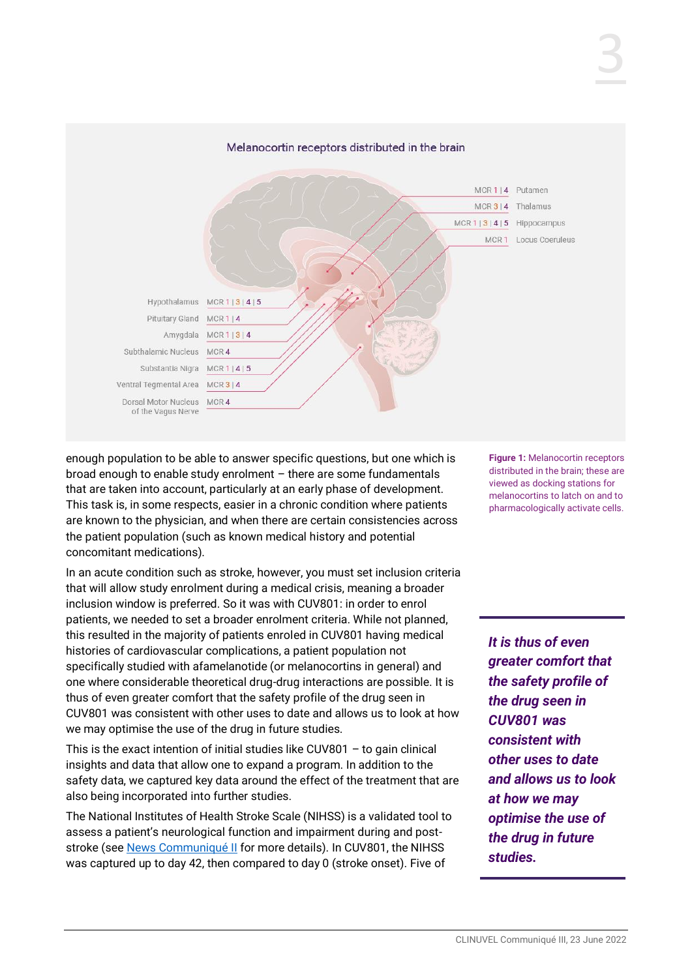

enough population to be able to answer specific questions, but one which is broad enough to enable study enrolment – there are some fundamentals that are taken into account, particularly at an early phase of development. This task is, in some respects, easier in a chronic condition where patients are known to the physician, and when there are certain consistencies across the patient population (such as known medical history and potential concomitant medications).

In an acute condition such as stroke, however, you must set inclusion criteria that will allow study enrolment during a medical crisis, meaning a broader inclusion window is preferred. So it was with CUV801: in order to enrol patients, we needed to set a broader enrolment criteria. While not planned, this resulted in the majority of patients enroled in CUV801 having medical histories of cardiovascular complications, a patient population not specifically studied with afamelanotide (or melanocortins in general) and one where considerable theoretical drug-drug interactions are possible. It is thus of even greater comfort that the safety profile of the drug seen in CUV801 was consistent with other uses to date and allows us to look at how we may optimise the use of the drug in future studies.

This is the exact intention of initial studies like CUV801 – to gain clinical insights and data that allow one to expand a program. In addition to the safety data, we captured key data around the effect of the treatment that are also being incorporated into further studies.

The National Institutes of Health Stroke Scale (NIHSS) is a validated tool to assess a patient's neurological function and impairment during and poststroke (se[e News Communiqué](https://www.clinuvel.com/clinuvel-communique-ii-20220331/) II for more details). In CUV801, the NIHSS was captured up to day 42, then compared to day 0 (stroke onset). Five of

**Figure 1:** Melanocortin receptors distributed in the brain; these are viewed as docking stations for melanocortins to latch on and to pharmacologically activate cells.

*It is thus of even greater comfort that the safety profile of the drug seen in CUV801 was consistent with other uses to date and allows us to look at how we may optimise the use of the drug in future studies.*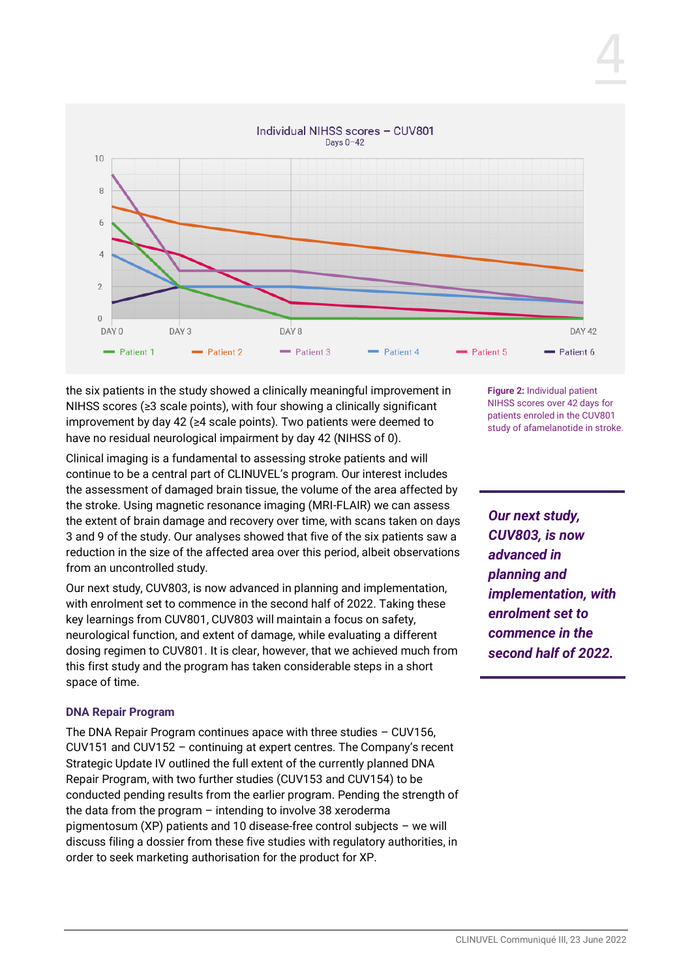

the six patients in the study showed a clinically meaningful improvement in NIHSS scores (≥3 scale points), with four showing a clinically significant improvement by day 42 (≥4 scale points). Two patients were deemed to have no residual neurological impairment by day 42 (NIHSS of 0).

Clinical imaging is a fundamental to assessing stroke patients and will continue to be a central part of CLINUVEL's program. Our interest includes the assessment of damaged brain tissue, the volume of the area affected by the stroke. Using magnetic resonance imaging (MRI-FLAIR) we can assess the extent of brain damage and recovery over time, with scans taken on days 3 and 9 of the study. Our analyses showed that five of the six patients saw a reduction in the size of the affected area over this period, albeit observations from an uncontrolled study.

Our next study, CUV803, is now advanced in planning and implementation, with enrolment set to commence in the second half of 2022. Taking these key learnings from CUV801, CUV803 will maintain a focus on safety, neurological function, and extent of damage, while evaluating a different dosing regimen to CUV801. It is clear, however, that we achieved much from this first study and the program has taken considerable steps in a short space of time.

## **DNA Repair Program**

The DNA Repair Program continues apace with three studies – CUV156, CUV151 and CUV152 – continuing at expert centres. The Company's recent Strategic Update IV outlined the full extent of the currently planned DNA Repair Program, with two further studies (CUV153 and CUV154) to be conducted pending results from the earlier program. Pending the strength of the data from the program – intending to involve 38 xeroderma pigmentosum (XP) patients and 10 disease-free control subjects – we will discuss filing a dossier from these five studies with regulatory authorities, in order to seek marketing authorisation for the product for XP.

**Figure 2:** Individual patient NIHSS scores over 42 days for patients enroled in the CUV801 study of afamelanotide in stroke.

*Our next study, CUV803, is now advanced in planning and implementation, with enrolment set to commence in the second half of 2022.*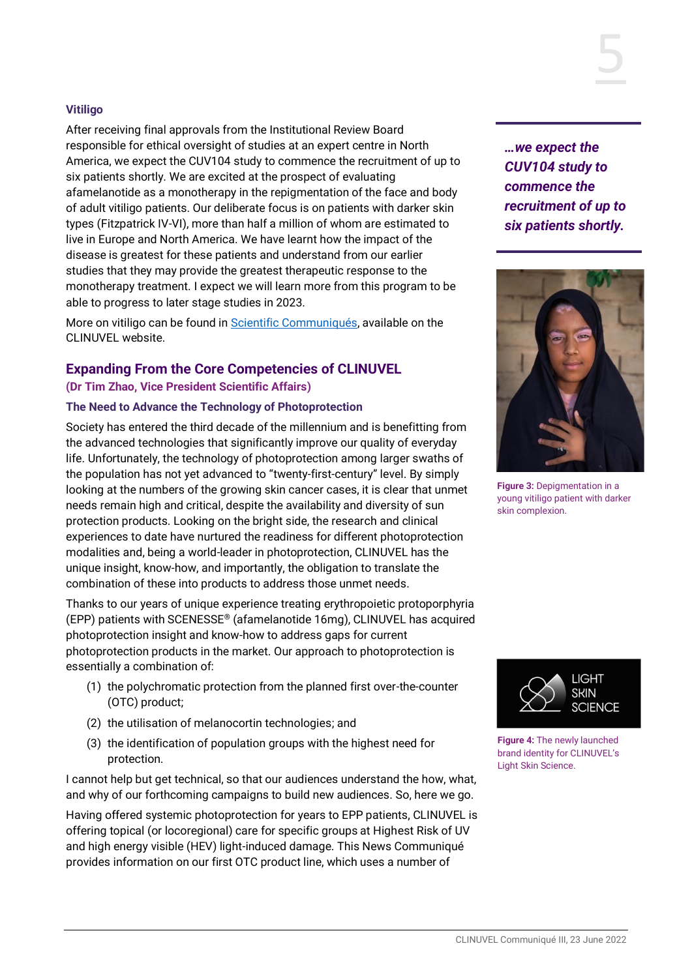## **Vitiligo**

After receiving final approvals from the Institutional Review Board responsible for ethical oversight of studies at an expert centre in North America, we expect the CUV104 study to commence the recruitment of up to six patients shortly. We are excited at the prospect of evaluating afamelanotide as a monotherapy in the repigmentation of the face and body of adult vitiligo patients. Our deliberate focus is on patients with darker skin types (Fitzpatrick IV-VI), more than half a million of whom are estimated to live in Europe and North America. We have learnt how the impact of the disease is greatest for these patients and understand from our earlier studies that they may provide the greatest therapeutic response to the monotherapy treatment. I expect we will learn more from this program to be able to progress to later stage studies in 2023.

More on vitiligo can be found i[n Scientific Communiqués,](https://www.clinuvel.com/pharmaceutical-technology/#Scientific-Communiques) available on the CLINUVEL website.

## **Expanding From the Core Competencies of CLINUVEL (Dr Tim Zhao, Vice President Scientific Affairs)**

#### **The Need to Advance the Technology of Photoprotection**

Society has entered the third decade of the millennium and is benefitting from the advanced technologies that significantly improve our quality of everyday life. Unfortunately, the technology of photoprotection among larger swaths of the population has not yet advanced to "twenty-first-century" level. By simply looking at the numbers of the growing skin cancer cases, it is clear that unmet needs remain high and critical, despite the availability and diversity of sun protection products. Looking on the bright side, the research and clinical experiences to date have nurtured the readiness for different photoprotection modalities and, being a world-leader in photoprotection, CLINUVEL has the unique insight, know-how, and importantly, the obligation to translate the combination of these into products to address those unmet needs.

Thanks to our years of unique experience treating erythropoietic protoporphyria (EPP) patients with SCENESSE® (afamelanotide 16mg), CLINUVEL has acquired photoprotection insight and know-how to address gaps for current photoprotection products in the market. Our approach to photoprotection is essentially a combination of:

- (1) the polychromatic protection from the planned first over-the-counter (OTC) product;
- (2) the utilisation of melanocortin technologies; and
- (3) the identification of population groups with the highest need for protection.

I cannot help but get technical, so that our audiences understand the how, what, and why of our forthcoming campaigns to build new audiences. So, here we go.

Having offered systemic photoprotection for years to EPP patients, CLINUVEL is offering topical (or locoregional) care for specific groups at Highest Risk of UV and high energy visible (HEV) light-induced damage. This News Communiqué provides information on our first OTC product line, which uses a number of

*…we expect the CUV104 study to commence the recruitment of up to six patients shortly.*



**Figure 3:** Depigmentation in a young vitiligo patient with darker skin complexion.



**Figure 4:** The newly launched brand identity for CLINUVEL's Light Skin Science.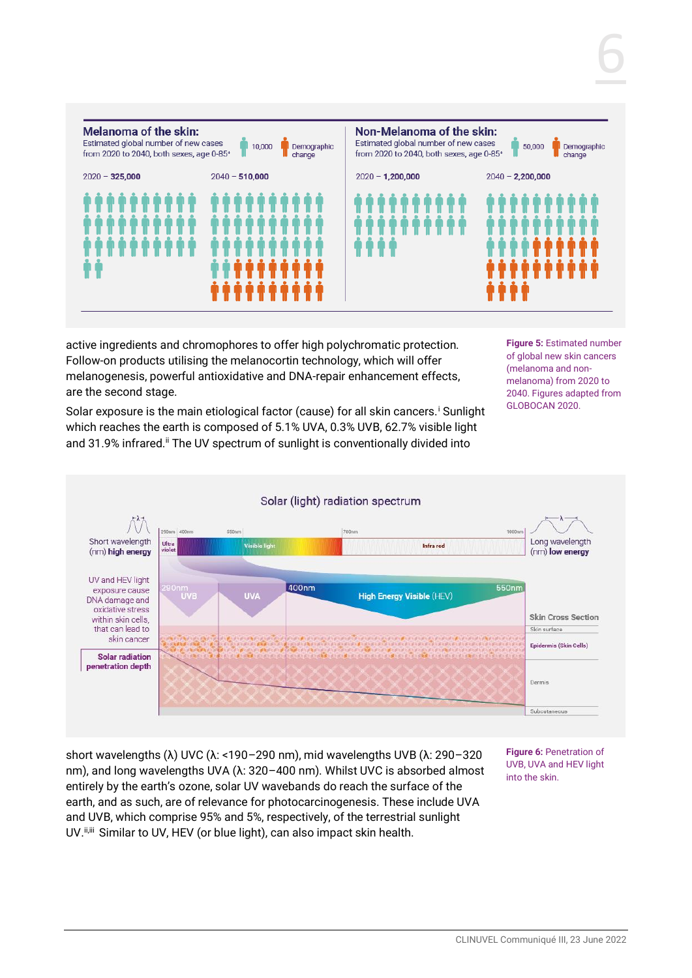

active ingredients and chromophores to offer high polychromatic protection. Follow-on products utilising the melanocortin technology, which will offer melanogenesis, powerful antioxidative and DNA-repair enhancement effects, are the second stage.

**Figure 5:** Estimated number of global new skin cancers (melanoma and nonmelanoma) from 2020 to 2040. Figures adapted from GLOBOCAN 2020.

6

Solar exposure is the main etiological factor (cause) for all skin cancers.<sup>i</sup> Sunlight which reaches the earth is composed of 5.1% UVA, 0.3% UVB, 62.7% visible light and 31.9% infrared.<sup>ii</sup> The UV spectrum of sunlight is conventionally divided into



short wavelengths (λ) UVC (λ: <190–290 nm), mid wavelengths UVB (λ: 290–320 nm), and long wavelengths UVA (λ: 320–400 nm). Whilst UVC is absorbed almost entirely by the earth's ozone, solar UV wavebands do reach the surface of the earth, and as such, are of relevance for photocarcinogenesis. These include UVA and UVB, which comprise 95% and 5%, respectively, of the terrestrial sunlight UV.  $i$ <sub>iiii</sub> Similar to UV, HEV (or blue light), can also impact skin health.

**Figure 6:** Penetration of UVB, UVA and HEV light into the skin.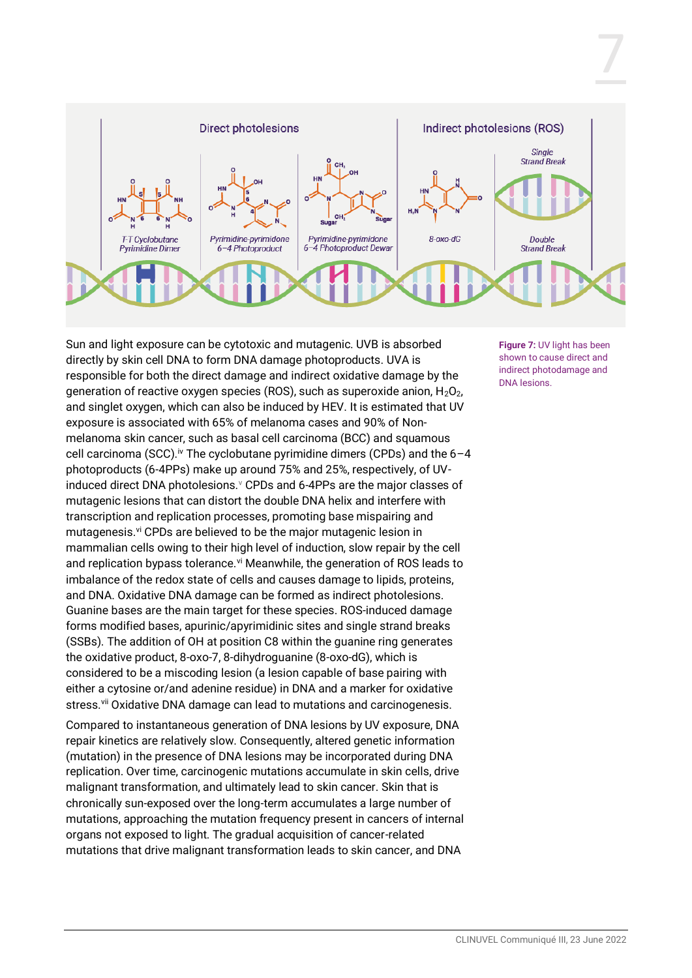

Sun and light exposure can be cytotoxic and mutagenic. UVB is absorbed directly by skin cell DNA to form DNA damage photoproducts. UVA is responsible for both the direct damage and indirect oxidative damage by the generation of reactive oxygen species (ROS), such as superoxide anion,  $H_2O_2$ , and singlet oxygen, which can also be induced by HEV. It is estimated that UV exposure is associated with 65% of melanoma cases and 90% of Nonmelanoma skin cancer, such as basal cell carcinoma (BCC) and squamous cell carcinoma (SCC).<sup>iv</sup> The cyclobutane pyrimidine dimers (CPDs) and the  $6-4$ photoproducts (6-4PPs) make up around 75% and 25%, respectively, of UVinduced direct DNA photolesions. *V* CPDs and 6-4PPs are the major classes of mutagenic lesions that can distort the double DNA helix and interfere with transcription and replication processes, promoting base mispairing and mutagenesis.<sup>vi</sup> CPDs are believed to be the major mutagenic lesion in mammalian cells owing to their high level of induction, slow repair by the cell and replication bypass tolerance.<sup>vi</sup> Meanwhile, the generation of ROS leads to imbalance of the redox state of cells and causes damage to lipids, proteins, and DNA. Oxidative DNA damage can be formed as indirect photolesions. Guanine bases are the main target for these species. ROS-induced damage forms modified bases, apurinic/apyrimidinic sites and single strand breaks (SSBs). The addition of OH at position C8 within the guanine ring generates the oxidative product, 8-oxo-7, 8-dihydroguanine (8-oxo-dG), which is considered to be a miscoding lesion (a lesion capable of base pairing with either a cytosine or/and adenine residue) in DNA and a marker for oxidative stress.<sup>vii</sup> Oxidative DNA damage can lead to mutations and carcinogenesis.

Compared to instantaneous generation of DNA lesions by UV exposure, DNA repair kinetics are relatively slow. Consequently, altered genetic information (mutation) in the presence of DNA lesions may be incorporated during DNA replication. Over time, carcinogenic mutations accumulate in skin cells, drive malignant transformation, and ultimately lead to skin cancer. Skin that is chronically sun-exposed over the long-term accumulates a large number of mutations, approaching the mutation frequency present in cancers of internal organs not exposed to light. The gradual acquisition of cancer-related mutations that drive malignant transformation leads to skin cancer, and DNA

**Figure 7:** UV light has been shown to cause direct and indirect photodamage and DNA lesions.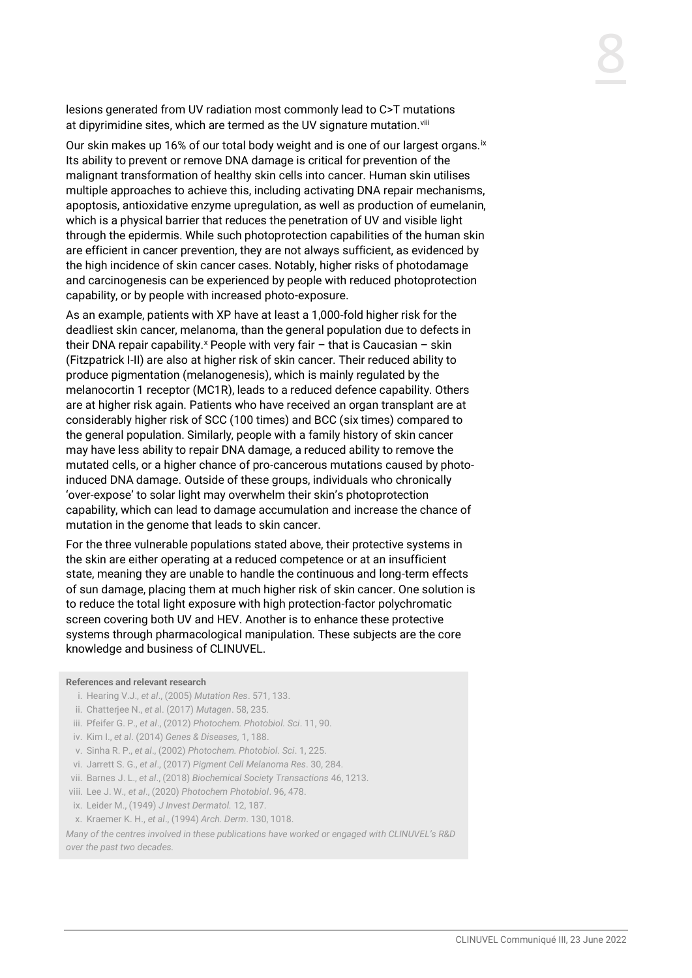lesions generated from UV radiation most commonly lead to C>T mutations at dipyrimidine sites, which are termed as the UV signature mutation.<sup>viii</sup>

Our skin makes up 16% of our total body weight and is one of our largest organs.<sup>ix</sup> Its ability to prevent or remove DNA damage is critical for prevention of the malignant transformation of healthy skin cells into cancer. Human skin utilises multiple approaches to achieve this, including activating DNA repair mechanisms, apoptosis, antioxidative enzyme upregulation, as well as production of eumelanin, which is a physical barrier that reduces the penetration of UV and visible light through the epidermis. While such photoprotection capabilities of the human skin are efficient in cancer prevention, they are not always sufficient, as evidenced by the high incidence of skin cancer cases. Notably, higher risks of photodamage and carcinogenesis can be experienced by people with reduced photoprotection capability, or by people with increased photo-exposure.

As an example, patients with XP have at least a 1,000-fold higher risk for the deadliest skin cancer, melanoma, than the general population due to defects in their DNA repair capability.<sup>x</sup> People with very fair  $-$  that is Caucasian  $-$  skin (Fitzpatrick I-II) are also at higher risk of skin cancer. Their reduced ability to produce pigmentation (melanogenesis), which is mainly regulated by the melanocortin 1 receptor (MC1R), leads to a reduced defence capability. Others are at higher risk again. Patients who have received an organ transplant are at considerably higher risk of SCC (100 times) and BCC (six times) compared to the general population. Similarly, people with a family history of skin cancer may have less ability to repair DNA damage, a reduced ability to remove the mutated cells, or a higher chance of pro-cancerous mutations caused by photoinduced DNA damage. Outside of these groups, individuals who chronically 'over-expose' to solar light may overwhelm their skin's photoprotection capability, which can lead to damage accumulation and increase the chance of mutation in the genome that leads to skin cancer.

For the three vulnerable populations stated above, their protective systems in the skin are either operating at a reduced competence or at an insufficient state, meaning they are unable to handle the continuous and long-term effects of sun damage, placing them at much higher risk of skin cancer. One solution is to reduce the total light exposure with high protection-factor polychromatic screen covering both UV and HEV. Another is to enhance these protective systems through pharmacological manipulation. These subjects are the core knowledge and business of CLINUVEL.

#### **References and relevant research**

- i. Hearing V.J., *et al*., (2005) *Mutation Res*. 571, 133.
- ii. Chatterjee N., *et a*l. (2017) *Mutagen*. 58, 235.
- iii. Pfeifer G. P., *et al*., (2012) *Photochem. Photobiol. Sci*. 11, 90.
- iv. Kim I., *et al*. (2014) *Genes & Diseases,* 1, 188.
- v. Sinha R. P., *et al*., (2002) *Photochem. Photobiol. Sci*. 1, 225.
- vi. Jarrett S. G., *et al*., (2017) *Pigment Cell Melanoma Res*. 30, 284.
- vii. Barnes J. L., *et al*., (2018) *Biochemical Society Transactions* 46, 1213.
- viii. Lee J. W., *et al*., (2020) *Photochem Photobiol*. 96, 478.
- ix. Leider M., (1949) *J Invest Dermatol.* 12, 187.
- x. Kraemer K. H., *et al*., (1994) *Arch. Derm*. 130, 1018.

*Many of the centres involved in these publications have worked or engaged with CLINUVEL's R&D over the past two decades.*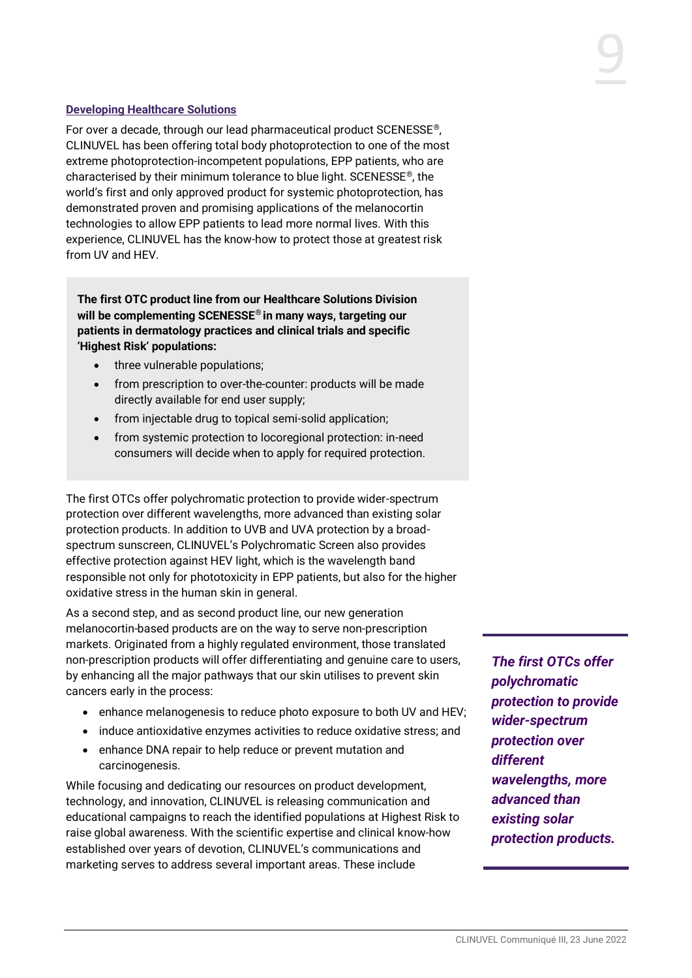## **Developing Healthcare Solutions**

For over a decade, through our lead pharmaceutical product SCENESSE®, CLINUVEL has been offering total body photoprotection to one of the most extreme photoprotection-incompetent populations, EPP patients, who are characterised by their minimum tolerance to blue light. SCENESSE®, the world's first and only approved product for systemic photoprotection, has demonstrated proven and promising applications of the melanocortin technologies to allow EPP patients to lead more normal lives. With this experience, CLINUVEL has the know-how to protect those at greatest risk from UV and HEV.

**The first OTC product line from our Healthcare Solutions Division will be complementing SCENESSE® in many ways, targeting our patients in dermatology practices and clinical trials and specific 'Highest Risk' populations:** 

- three vulnerable populations;
- from prescription to over-the-counter: products will be made directly available for end user supply;
- from injectable drug to topical semi-solid application;
- from systemic protection to locoregional protection: in-need consumers will decide when to apply for required protection.

The first OTCs offer polychromatic protection to provide wider-spectrum protection over different wavelengths, more advanced than existing solar protection products. In addition to UVB and UVA protection by a broadspectrum sunscreen, CLINUVEL's Polychromatic Screen also provides effective protection against HEV light, which is the wavelength band responsible not only for phototoxicity in EPP patients, but also for the higher oxidative stress in the human skin in general.

As a second step, and as second product line, our new generation melanocortin-based products are on the way to serve non-prescription markets. Originated from a highly regulated environment, those translated non-prescription products will offer differentiating and genuine care to users, by enhancing all the major pathways that our skin utilises to prevent skin cancers early in the process:

- enhance melanogenesis to reduce photo exposure to both UV and HEV;
- induce antioxidative enzymes activities to reduce oxidative stress; and
- enhance DNA repair to help reduce or prevent mutation and carcinogenesis.

While focusing and dedicating our resources on product development, technology, and innovation, CLINUVEL is releasing communication and educational campaigns to reach the identified populations at Highest Risk to raise global awareness. With the scientific expertise and clinical know-how established over years of devotion, CLINUVEL's communications and marketing serves to address several important areas. These include

*The first OTCs offer polychromatic protection to provide wider-spectrum protection over different wavelengths, more advanced than existing solar protection products.*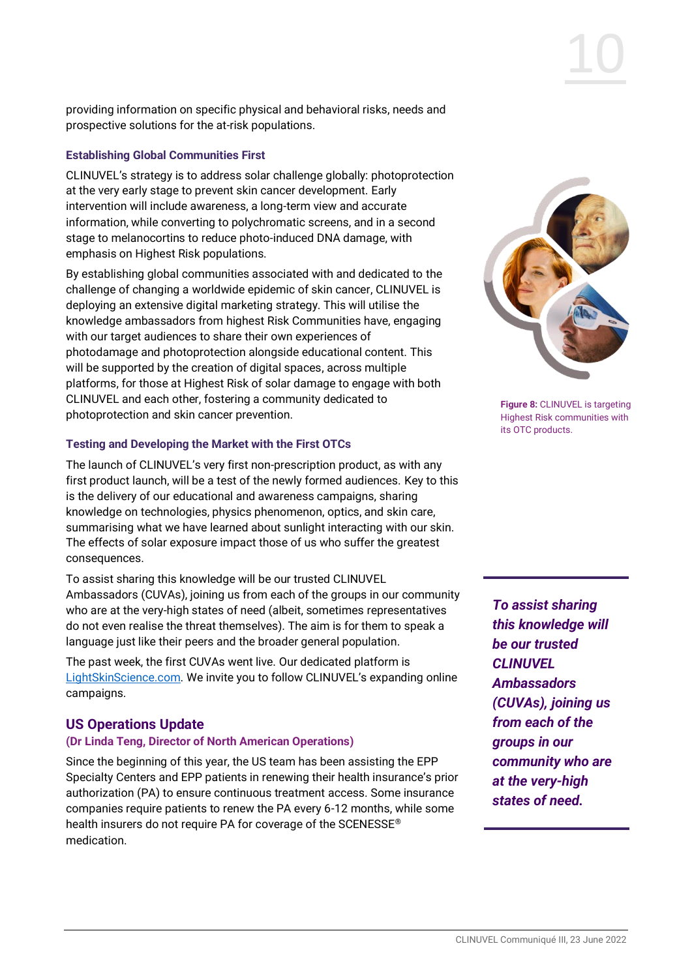providing information on specific physical and behavioral risks, needs and prospective solutions for the at-risk populations.

## **Establishing Global Communities First**

CLINUVEL's strategy is to address solar challenge globally: photoprotection at the very early stage to prevent skin cancer development. Early intervention will include awareness, a long-term view and accurate information, while converting to polychromatic screens, and in a second stage to melanocortins to reduce photo-induced DNA damage, with emphasis on Highest Risk populations.

By establishing global communities associated with and dedicated to the challenge of changing a worldwide epidemic of skin cancer, CLINUVEL is deploying an extensive digital marketing strategy. This will utilise the knowledge ambassadors from highest Risk Communities have, engaging with our target audiences to share their own experiences of photodamage and photoprotection alongside educational content. This will be supported by the creation of digital spaces, across multiple platforms, for those at Highest Risk of solar damage to engage with both CLINUVEL and each other, fostering a community dedicated to photoprotection and skin cancer prevention.

## **Testing and Developing the Market with the First OTCs**

The launch of CLINUVEL's very first non-prescription product, as with any first product launch, will be a test of the newly formed audiences. Key to this is the delivery of our educational and awareness campaigns, sharing knowledge on technologies, physics phenomenon, optics, and skin care, summarising what we have learned about sunlight interacting with our skin. The effects of solar exposure impact those of us who suffer the greatest consequences.

To assist sharing this knowledge will be our trusted CLINUVEL Ambassadors (CUVAs), joining us from each of the groups in our community who are at the very-high states of need (albeit, sometimes representatives do not even realise the threat themselves). The aim is for them to speak a language just like their peers and the broader general population.

The past week, the first CUVAs went live. Our dedicated platform is [LightSkinScience.com](https://www.lightskinscience.com/). We invite you to follow CLINUVEL's expanding online campaigns.

# **US Operations Update**

#### **(Dr Linda Teng, Director of North American Operations)**

Since the beginning of this year, the US team has been assisting the EPP Specialty Centers and EPP patients in renewing their health insurance's prior authorization (PA) to ensure continuous treatment access. Some insurance companies require patients to renew the PA every 6-12 months, while some health insurers do not require PA for coverage of the SCENESSE® medication.



**Figure 8:** CLINUVEL is targeting Highest Risk communities with its OTC products.

*To assist sharing this knowledge will be our trusted CLINUVEL Ambassadors (CUVAs), joining us from each of the groups in our community who are at the very-high states of need.*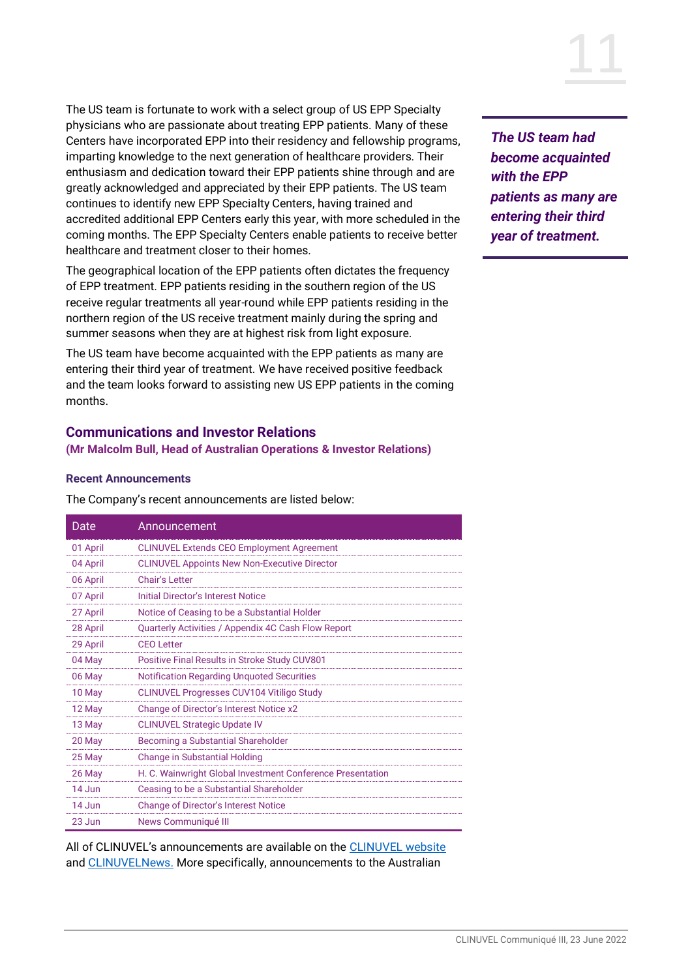The US team is fortunate to work with a select group of US EPP Specialty physicians who are passionate about treating EPP patients. Many of these Centers have incorporated EPP into their residency and fellowship programs, imparting knowledge to the next generation of healthcare providers. Their enthusiasm and dedication toward their EPP patients shine through and are greatly acknowledged and appreciated by their EPP patients. The US team continues to identify new EPP Specialty Centers, having trained and accredited additional EPP Centers early this year, with more scheduled in the coming months. The EPP Specialty Centers enable patients to receive better healthcare and treatment closer to their homes.

The geographical location of the EPP patients often dictates the frequency of EPP treatment. EPP patients residing in the southern region of the US receive regular treatments all year-round while EPP patients residing in the northern region of the US receive treatment mainly during the spring and summer seasons when they are at highest risk from light exposure.

The US team have become acquainted with the EPP patients as many are entering their third year of treatment. We have received positive feedback and the team looks forward to assisting new US EPP patients in the coming months.

## **Communications and Investor Relations**

**(Mr Malcolm Bull, Head of Australian Operations & Investor Relations)**

#### **Recent Announcements**

The Company's recent announcements are listed below:

| Date          | Announcement                                               |  |
|---------------|------------------------------------------------------------|--|
| 01 April      | <b>CLINUVEL Extends CEO Employment Agreement</b>           |  |
| 04 April      | <b>CLINUVEL Appoints New Non-Executive Director</b>        |  |
| 06 April      | Chair's Letter                                             |  |
| 07 April      | Initial Director's Interest Notice                         |  |
| 27 April      | Notice of Ceasing to be a Substantial Holder               |  |
| 28 April      | Quarterly Activities / Appendix 4C Cash Flow Report        |  |
| 29 April      | CEO Letter                                                 |  |
| 04 May        | Positive Final Results in Stroke Study CUV801              |  |
| 06 May        | <b>Notification Regarding Unquoted Securities</b>          |  |
| 10 May        | <b>CLINUVEL Progresses CUV104 Vitiligo Study</b>           |  |
| 12 May        | Change of Director's Interest Notice x2                    |  |
| 13 May        | <b>CLINUVEL Strategic Update IV</b>                        |  |
| 20 May        | Becoming a Substantial Shareholder                         |  |
| 25 May        | <b>Change in Substantial Holding</b>                       |  |
| 26 May        | H. C. Wainwright Global Investment Conference Presentation |  |
| $14.$ $\mu$ n | Ceasing to be a Substantial Shareholder                    |  |
| 14 Jun        | <b>Change of Director's Interest Notice</b>                |  |
| 23 Jun        | News Communiqué III                                        |  |

All of CLINUVEL's announcements are available on the [CLINUVEL website](http://www.clinuvel.com/) and [CLINUVELNews.](http://news.clinuvel.com/) More specifically, announcements to the Australian



*The US team had become acquainted with the EPP patients as many are entering their third year of treatment.*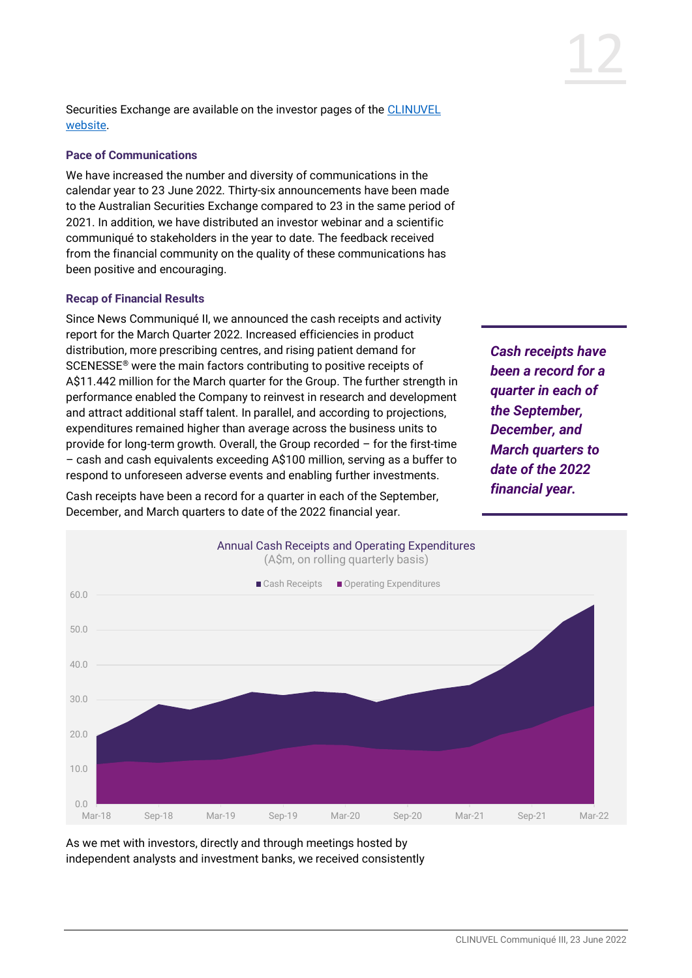Securities Exchange are available on the investor pages of the CLINUVEL [website.](http://www.clinuvel.com/)

#### **Pace of Communications**

We have increased the number and diversity of communications in the calendar year to 23 June 2022. Thirty-six announcements have been made to the Australian Securities Exchange compared to 23 in the same period of 2021. In addition, we have distributed an investor webinar and a scientific communiqué to stakeholders in the year to date. The feedback received from the financial community on the quality of these communications has been positive and encouraging.

## **Recap of Financial Results**

Since News Communiqué II, we announced the cash receipts and activity report for the March Quarter 2022. Increased efficiencies in product distribution, more prescribing centres, and rising patient demand for SCENESSE® were the main factors contributing to positive receipts of A\$11.442 million for the March quarter for the Group. The further strength in performance enabled the Company to reinvest in research and development and attract additional staff talent. In parallel, and according to projections, expenditures remained higher than average across the business units to provide for long-term growth. Overall, the Group recorded – for the first-time – cash and cash equivalents exceeding A\$100 million, serving as a buffer to respond to unforeseen adverse events and enabling further investments.

Cash receipts have been a record for a quarter in each of the September, December, and March quarters to date of the 2022 financial year.

*Cash receipts have been a record for a quarter in each of the September, December, and March quarters to date of the 2022 financial year.*



As we met with investors, directly and through meetings hosted by independent analysts and investment banks, we received consistently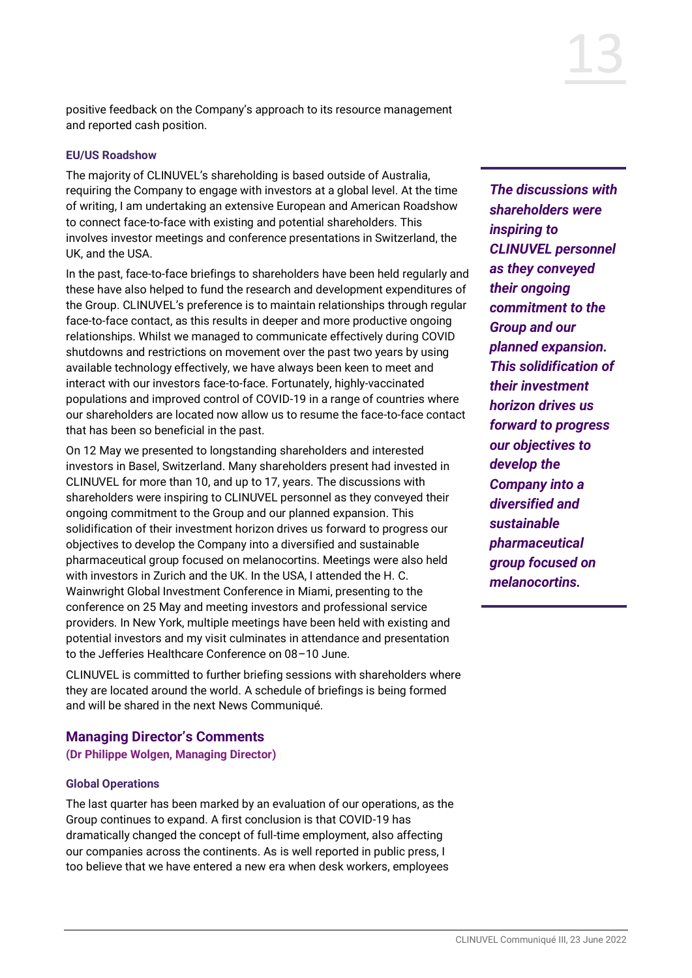positive feedback on the Company's approach to its resource management and reported cash position.

#### **EU/US Roadshow**

The majority of CLINUVEL's shareholding is based outside of Australia, requiring the Company to engage with investors at a global level. At the time of writing, I am undertaking an extensive European and American Roadshow to connect face-to-face with existing and potential shareholders. This involves investor meetings and conference presentations in Switzerland, the UK, and the USA.

In the past, face-to-face briefings to shareholders have been held regularly and these have also helped to fund the research and development expenditures of the Group. CLINUVEL's preference is to maintain relationships through regular face-to-face contact, as this results in deeper and more productive ongoing relationships. Whilst we managed to communicate effectively during COVID shutdowns and restrictions on movement over the past two years by using available technology effectively, we have always been keen to meet and interact with our investors face-to-face. Fortunately, highly-vaccinated populations and improved control of COVID-19 in a range of countries where our shareholders are located now allow us to resume the face-to-face contact that has been so beneficial in the past.

On 12 May we presented to longstanding shareholders and interested investors in Basel, Switzerland. Many shareholders present had invested in CLINUVEL for more than 10, and up to 17, years. The discussions with shareholders were inspiring to CLINUVEL personnel as they conveyed their ongoing commitment to the Group and our planned expansion. This solidification of their investment horizon drives us forward to progress our objectives to develop the Company into a diversified and sustainable pharmaceutical group focused on melanocortins. Meetings were also held with investors in Zurich and the UK. In the USA, I attended the H. C. Wainwright Global Investment Conference in Miami, presenting to the conference on 25 May and meeting investors and professional service providers. In New York, multiple meetings have been held with existing and potential investors and my visit culminates in attendance and presentation to the Jefferies Healthcare Conference on 08–10 June.

CLINUVEL is committed to further briefing sessions with shareholders where they are located around the world. A schedule of briefings is being formed and will be shared in the next News Communiqué.

#### **Managing Director's Comments**

**(Dr Philippe Wolgen, Managing Director)**

#### **Global Operations**

The last quarter has been marked by an evaluation of our operations, as the Group continues to expand. A first conclusion is that COVID-19 has dramatically changed the concept of full-time employment, also affecting our companies across the continents. As is well reported in public press, I too believe that we have entered a new era when desk workers, employees

*The discussions with shareholders were inspiring to CLINUVEL personnel as they conveyed their ongoing commitment to the Group and our planned expansion. This solidification of their investment horizon drives us forward to progress our objectives to develop the Company into a diversified and sustainable pharmaceutical group focused on melanocortins.*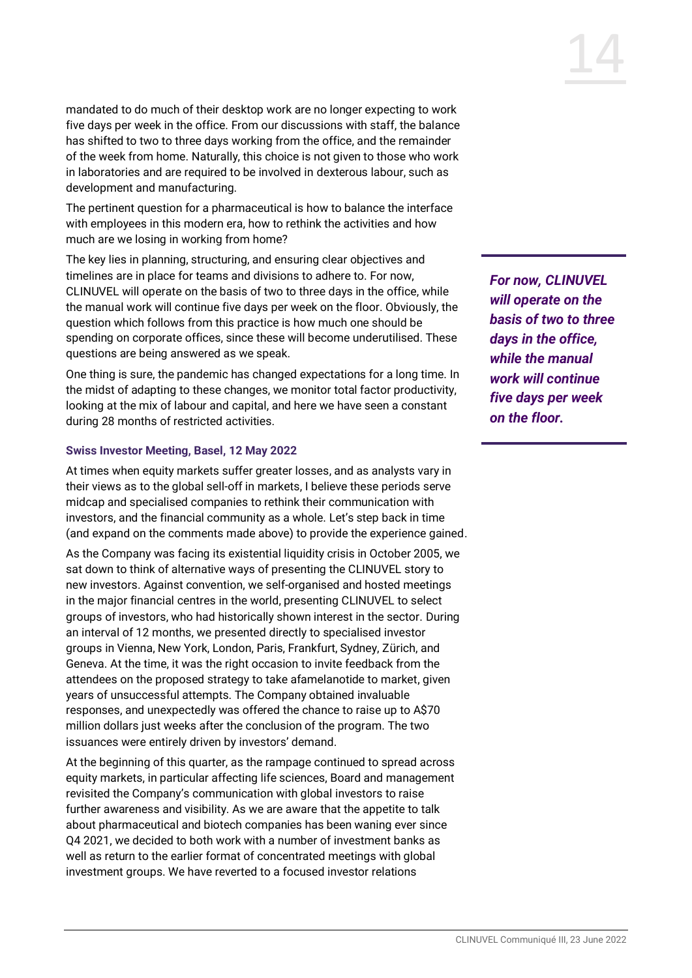mandated to do much of their desktop work are no longer expecting to work five days per week in the office. From our discussions with staff, the balance has shifted to two to three days working from the office, and the remainder of the week from home. Naturally, this choice is not given to those who work in laboratories and are required to be involved in dexterous labour, such as development and manufacturing.

The pertinent question for a pharmaceutical is how to balance the interface with employees in this modern era, how to rethink the activities and how much are we losing in working from home?

The key lies in planning, structuring, and ensuring clear objectives and timelines are in place for teams and divisions to adhere to. For now, CLINUVEL will operate on the basis of two to three days in the office, while the manual work will continue five days per week on the floor. Obviously, the question which follows from this practice is how much one should be spending on corporate offices, since these will become underutilised. These questions are being answered as we speak.

One thing is sure, the pandemic has changed expectations for a long time. In the midst of adapting to these changes, we monitor total factor productivity, looking at the mix of labour and capital, and here we have seen a constant during 28 months of restricted activities.

## **Swiss Investor Meeting, Basel, 12 May 2022**

At times when equity markets suffer greater losses, and as analysts vary in their views as to the global sell-off in markets, I believe these periods serve midcap and specialised companies to rethink their communication with investors, and the financial community as a whole. Let's step back in time (and expand on the comments made above) to provide the experience gained.

As the Company was facing its existential liquidity crisis in October 2005, we sat down to think of alternative ways of presenting the CLINUVEL story to new investors. Against convention, we self-organised and hosted meetings in the major financial centres in the world, presenting CLINUVEL to select groups of investors, who had historically shown interest in the sector. During an interval of 12 months, we presented directly to specialised investor groups in Vienna, New York, London, Paris, Frankfurt, Sydney, Zürich, and Geneva. At the time, it was the right occasion to invite feedback from the attendees on the proposed strategy to take afamelanotide to market, given years of unsuccessful attempts. The Company obtained invaluable responses, and unexpectedly was offered the chance to raise up to A\$70 million dollars just weeks after the conclusion of the program. The two issuances were entirely driven by investors' demand.

At the beginning of this quarter, as the rampage continued to spread across equity markets, in particular affecting life sciences, Board and management revisited the Company's communication with global investors to raise further awareness and visibility. As we are aware that the appetite to talk about pharmaceutical and biotech companies has been waning ever since Q4 2021, we decided to both work with a number of investment banks as well as return to the earlier format of concentrated meetings with global investment groups. We have reverted to a focused investor relations

*For now, CLINUVEL will operate on the basis of two to three days in the office, while the manual work will continue five days per week on the floor.*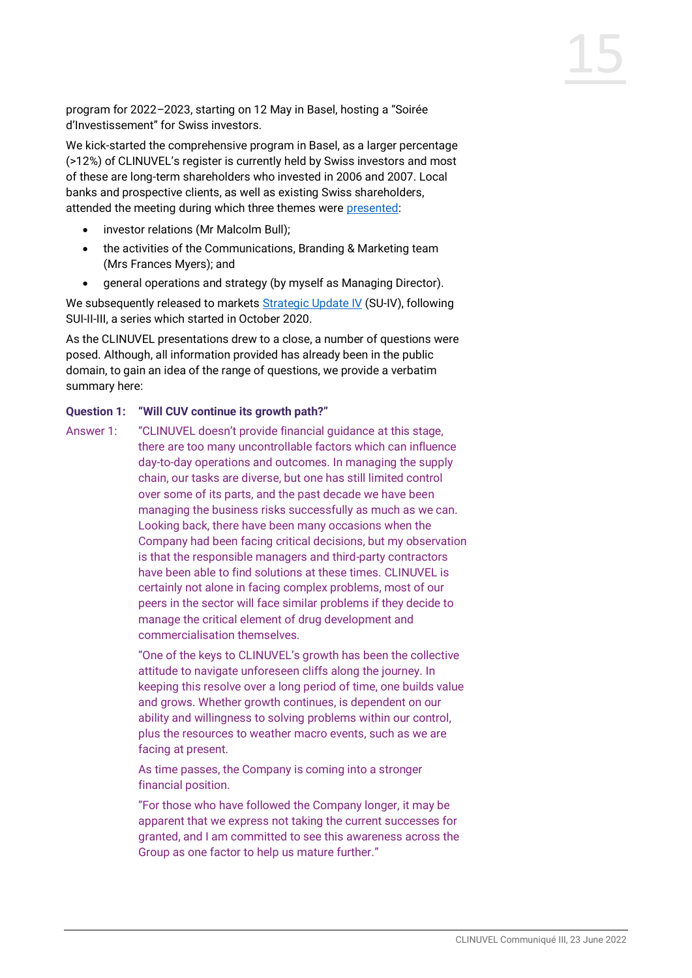program for 2022–2023, starting on 12 May in Basel, hosting a "Soirée d'Investissement" for Swiss investors.

We kick-started the comprehensive program in Basel, as a larger percentage (>12%) of CLINUVEL's register is currently held by Swiss investors and most of these are long-term shareholders who invested in 2006 and 2007. Local banks and prospective clients, as well as existing Swiss shareholders, attended the meeting during which three themes were [presented:](https://www.clinuvel.com/strategic-update-4/)

- investor relations (Mr Malcolm Bull);
- the activities of the Communications, Branding & Marketing team (Mrs Frances Myers); and
- general operations and strategy (by myself as Managing Director).

We subsequently released to markets [Strategic Update IV](https://www.clinuvel.com/strategic-update-4/) (SU-IV), following SUI-II-III, a series which started in October 2020.

As the CLINUVEL presentations drew to a close, a number of questions were posed. Although, all information provided has already been in the public domain, to gain an idea of the range of questions, we provide a verbatim summary here:

## **Question 1: "Will CUV continue its growth path?"**

Answer 1: "CLINUVEL doesn't provide financial guidance at this stage, there are too many uncontrollable factors which can influence day-to-day operations and outcomes. In managing the supply chain, our tasks are diverse, but one has still limited control over some of its parts, and the past decade we have been managing the business risks successfully as much as we can. Looking back, there have been many occasions when the Company had been facing critical decisions, but my observation is that the responsible managers and third-party contractors have been able to find solutions at these times. CLINUVEL is certainly not alone in facing complex problems, most of our peers in the sector will face similar problems if they decide to manage the critical element of drug development and commercialisation themselves.

> "One of the keys to CLINUVEL's growth has been the collective attitude to navigate unforeseen cliffs along the journey. In keeping this resolve over a long period of time, one builds value and grows. Whether growth continues, is dependent on our ability and willingness to solving problems within our control, plus the resources to weather macro events, such as we are facing at present.

As time passes, the Company is coming into a stronger financial position.

"For those who have followed the Company longer, it may be apparent that we express not taking the current successes for granted, and I am committed to see this awareness across the Group as one factor to help us mature further."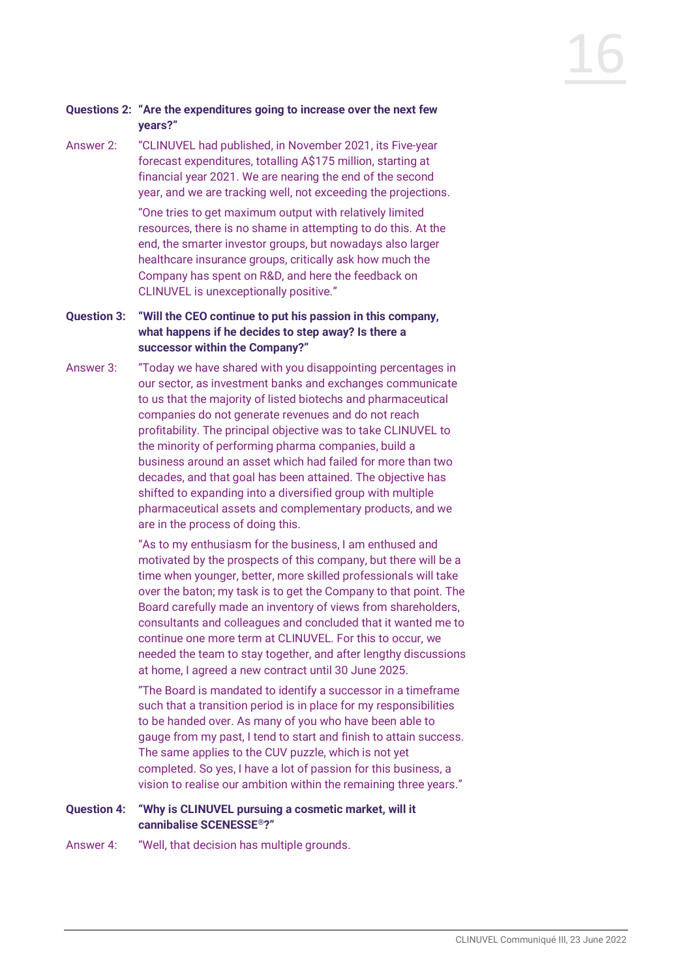## **Questions 2: "Are the expenditures going to increase over the next few years?"**

Answer 2: "CLINUVEL had published, in November 2021, its Five-year forecast expenditures, totalling A\$175 million, starting at financial year 2021. We are nearing the end of the second year, and we are tracking well, not exceeding the projections.

> "One tries to get maximum output with relatively limited resources, there is no shame in attempting to do this. At the end, the smarter investor groups, but nowadays also larger healthcare insurance groups, critically ask how much the Company has spent on R&D, and here the feedback on CLINUVEL is unexceptionally positive."

- **Question 3: "Will the CEO continue to put his passion in this company, what happens if he decides to step away? Is there a successor within the Company?"**
- Answer 3: "Today we have shared with you disappointing percentages in our sector, as investment banks and exchanges communicate to us that the majority of listed biotechs and pharmaceutical companies do not generate revenues and do not reach profitability. The principal objective was to take CLINUVEL to the minority of performing pharma companies, build a business around an asset which had failed for more than two decades, and that goal has been attained. The objective has shifted to expanding into a diversified group with multiple pharmaceutical assets and complementary products, and we are in the process of doing this.

"As to my enthusiasm for the business, I am enthused and motivated by the prospects of this company, but there will be a time when younger, better, more skilled professionals will take over the baton; my task is to get the Company to that point. The Board carefully made an inventory of views from shareholders, consultants and colleagues and concluded that it wanted me to continue one more term at CLINUVEL. For this to occur, we needed the team to stay together, and after lengthy discussions at home, I agreed a new contract until 30 June 2025.

"The Board is mandated to identify a successor in a timeframe such that a transition period is in place for my responsibilities to be handed over. As many of you who have been able to gauge from my past, I tend to start and finish to attain success. The same applies to the CUV puzzle, which is not yet completed. So yes, I have a lot of passion for this business, a vision to realise our ambition within the remaining three years."

## **Question 4: "Why is CLINUVEL pursuing a cosmetic market, will it cannibalise SCENESSE®?"**

Answer 4: "Well, that decision has multiple grounds.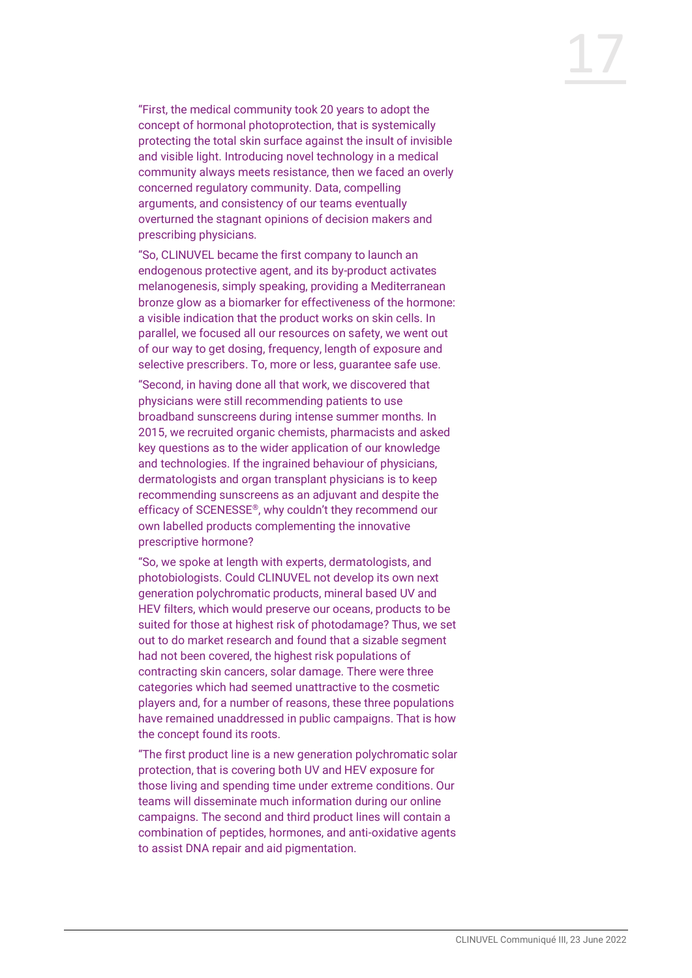"First, the medical community took 20 years to adopt the concept of hormonal photoprotection, that is systemically protecting the total skin surface against the insult of invisible and visible light. Introducing novel technology in a medical community always meets resistance, then we faced an overly concerned regulatory community. Data, compelling arguments, and consistency of our teams eventually overturned the stagnant opinions of decision makers and prescribing physicians.

"So, CLINUVEL became the first company to launch an endogenous protective agent, and its by-product activates melanogenesis, simply speaking, providing a Mediterranean bronze glow as a biomarker for effectiveness of the hormone: a visible indication that the product works on skin cells. In parallel, we focused all our resources on safety, we went out of our way to get dosing, frequency, length of exposure and selective prescribers. To, more or less, guarantee safe use.

"Second, in having done all that work, we discovered that physicians were still recommending patients to use broadband sunscreens during intense summer months. In 2015, we recruited organic chemists, pharmacists and asked key questions as to the wider application of our knowledge and technologies. If the ingrained behaviour of physicians, dermatologists and organ transplant physicians is to keep recommending sunscreens as an adjuvant and despite the efficacy of SCENESSE®, why couldn't they recommend our own labelled products complementing the innovative prescriptive hormone?

"So, we spoke at length with experts, dermatologists, and photobiologists. Could CLINUVEL not develop its own next generation polychromatic products, mineral based UV and HEV filters, which would preserve our oceans, products to be suited for those at highest risk of photodamage? Thus, we set out to do market research and found that a sizable segment had not been covered, the highest risk populations of contracting skin cancers, solar damage. There were three categories which had seemed unattractive to the cosmetic players and, for a number of reasons, these three populations have remained unaddressed in public campaigns. That is how the concept found its roots.

"The first product line is a new generation polychromatic solar protection, that is covering both UV and HEV exposure for those living and spending time under extreme conditions. Our teams will disseminate much information during our online campaigns. The second and third product lines will contain a combination of peptides, hormones, and anti-oxidative agents to assist DNA repair and aid pigmentation.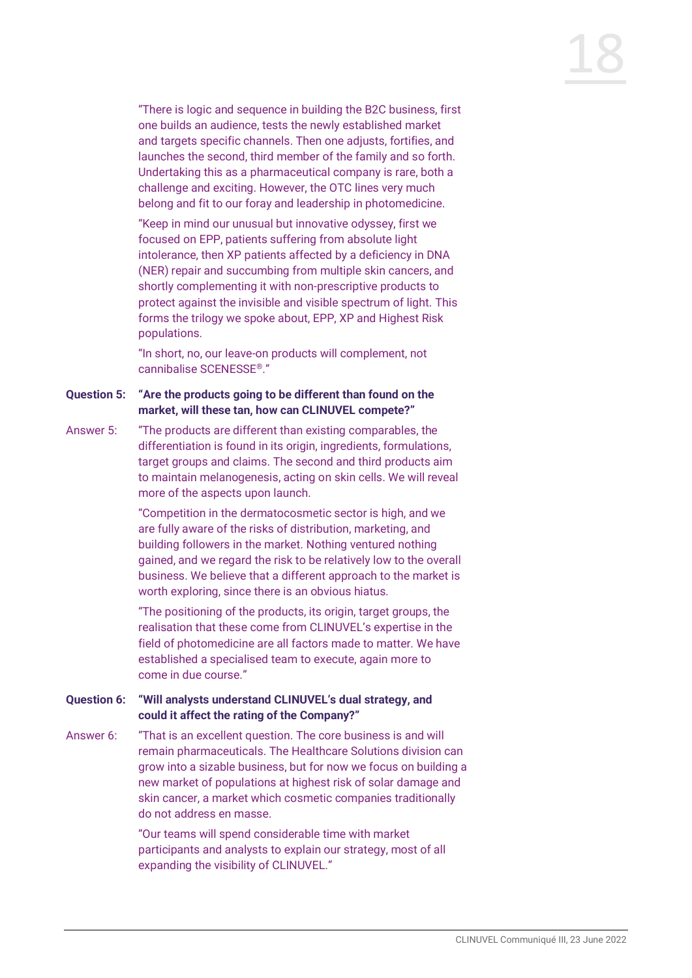"There is logic and sequence in building the B2C business, first one builds an audience, tests the newly established market and targets specific channels. Then one adjusts, fortifies, and launches the second, third member of the family and so forth. Undertaking this as a pharmaceutical company is rare, both a challenge and exciting. However, the OTC lines very much belong and fit to our foray and leadership in photomedicine.

"Keep in mind our unusual but innovative odyssey, first we focused on EPP, patients suffering from absolute light intolerance, then XP patients affected by a deficiency in DNA (NER) repair and succumbing from multiple skin cancers, and shortly complementing it with non-prescriptive products to protect against the invisible and visible spectrum of light. This forms the trilogy we spoke about, EPP, XP and Highest Risk populations.

"In short, no, our leave-on products will complement, not cannibalise SCENESSE®."

- **Question 5: "Are the products going to be different than found on the market, will these tan, how can CLINUVEL compete?"**
- Answer 5: "The products are different than existing comparables, the differentiation is found in its origin, ingredients, formulations, target groups and claims. The second and third products aim to maintain melanogenesis, acting on skin cells. We will reveal more of the aspects upon launch.

"Competition in the dermatocosmetic sector is high, and we are fully aware of the risks of distribution, marketing, and building followers in the market. Nothing ventured nothing gained, and we regard the risk to be relatively low to the overall business. We believe that a different approach to the market is worth exploring, since there is an obvious hiatus.

"The positioning of the products, its origin, target groups, the realisation that these come from CLINUVEL's expertise in the field of photomedicine are all factors made to matter. We have established a specialised team to execute, again more to come in due course."

## **Question 6: "Will analysts understand CLINUVEL's dual strategy, and could it affect the rating of the Company?"**

Answer 6: "That is an excellent question. The core business is and will remain pharmaceuticals. The Healthcare Solutions division can grow into a sizable business, but for now we focus on building a new market of populations at highest risk of solar damage and skin cancer, a market which cosmetic companies traditionally do not address en masse.

> "Our teams will spend considerable time with market participants and analysts to explain our strategy, most of all expanding the visibility of CLINUVEL."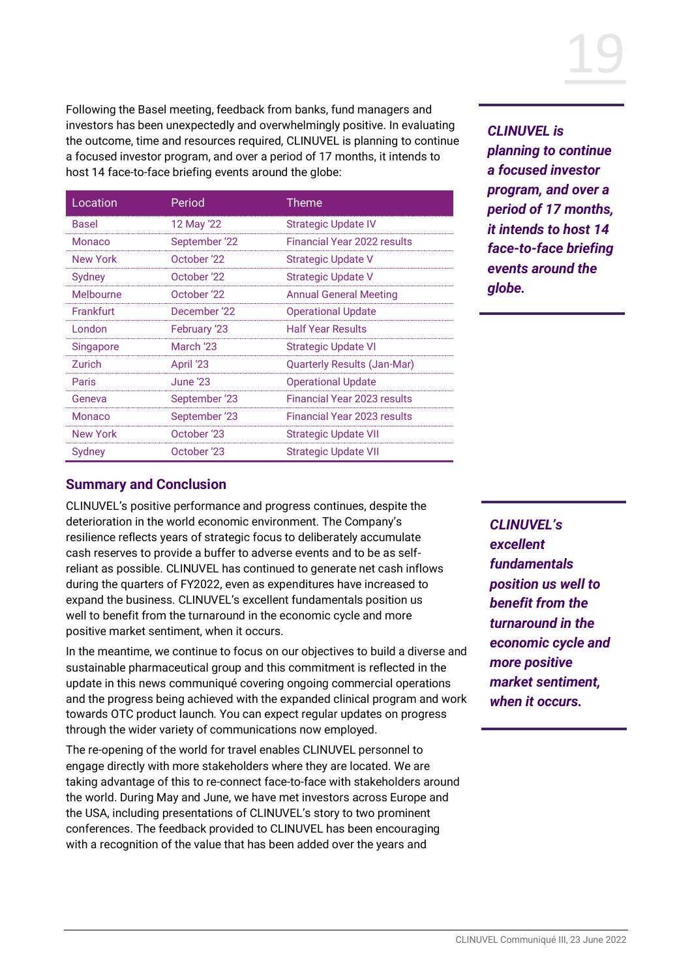

Following the Basel meeting, feedback from banks, fund managers and investors has been unexpectedly and overwhelmingly positive. In evaluating the outcome, time and resources required, CLINUVEL is planning to continue a focused investor program, and over a period of 17 months, it intends to host 14 face-to-face briefing events around the globe:

| Location  | Period        | Theme                         |
|-----------|---------------|-------------------------------|
| Basel     | 12 May '22    | <b>Strategic Update IV</b>    |
| Monaco    | September '22 | Financial Year 2022 results   |
| New York  | October '22   | <b>Strategic Update V</b>     |
| Sydney    | October '22   | <b>Strategic Update V</b>     |
| Melbourne | October '22   | <b>Annual General Meeting</b> |
| Frankfurt | December '22  | <b>Operational Update</b>     |
| I ondon   | February '23  | <b>Half Year Results</b>      |
| Singapore | March '23     | <b>Strategic Update VI</b>    |
| Zurich    | April '23     | Quarterly Results (Jan-Mar)   |
| Paris     | June '23.     | <b>Operational Update</b>     |
| Geneva    | September '23 | Financial Year 2023 results   |
| Monaco    | September '23 | Financial Year 2023 results   |
| New York  | October '23   | <b>Strategic Update VII</b>   |
| Sydney    | October '23   | <b>Strategic Update VII</b>   |

*CLINUVEL is planning to continue a focused investor program, and over a period of 17 months, it intends to host 14 face-to-face briefing events around the globe.*

# **Summary and Conclusion**

CLINUVEL's positive performance and progress continues, despite the deterioration in the world economic environment. The Company's resilience reflects years of strategic focus to deliberately accumulate cash reserves to provide a buffer to adverse events and to be as selfreliant as possible. CLINUVEL has continued to generate net cash inflows during the quarters of FY2022, even as expenditures have increased to expand the business. CLINUVEL's excellent fundamentals position us well to benefit from the turnaround in the economic cycle and more positive market sentiment, when it occurs.

In the meantime, we continue to focus on our objectives to build a diverse and sustainable pharmaceutical group and this commitment is reflected in the update in this news communiqué covering ongoing commercial operations and the progress being achieved with the expanded clinical program and work towards OTC product launch. You can expect regular updates on progress through the wider variety of communications now employed.

The re-opening of the world for travel enables CLINUVEL personnel to engage directly with more stakeholders where they are located. We are taking advantage of this to re-connect face-to-face with stakeholders around the world. During May and June, we have met investors across Europe and the USA, including presentations of CLINUVEL's story to two prominent conferences. The feedback provided to CLINUVEL has been encouraging with a recognition of the value that has been added over the years and

*CLINUVEL's excellent fundamentals position us well to benefit from the turnaround in the economic cycle and more positive market sentiment, when it occurs.*